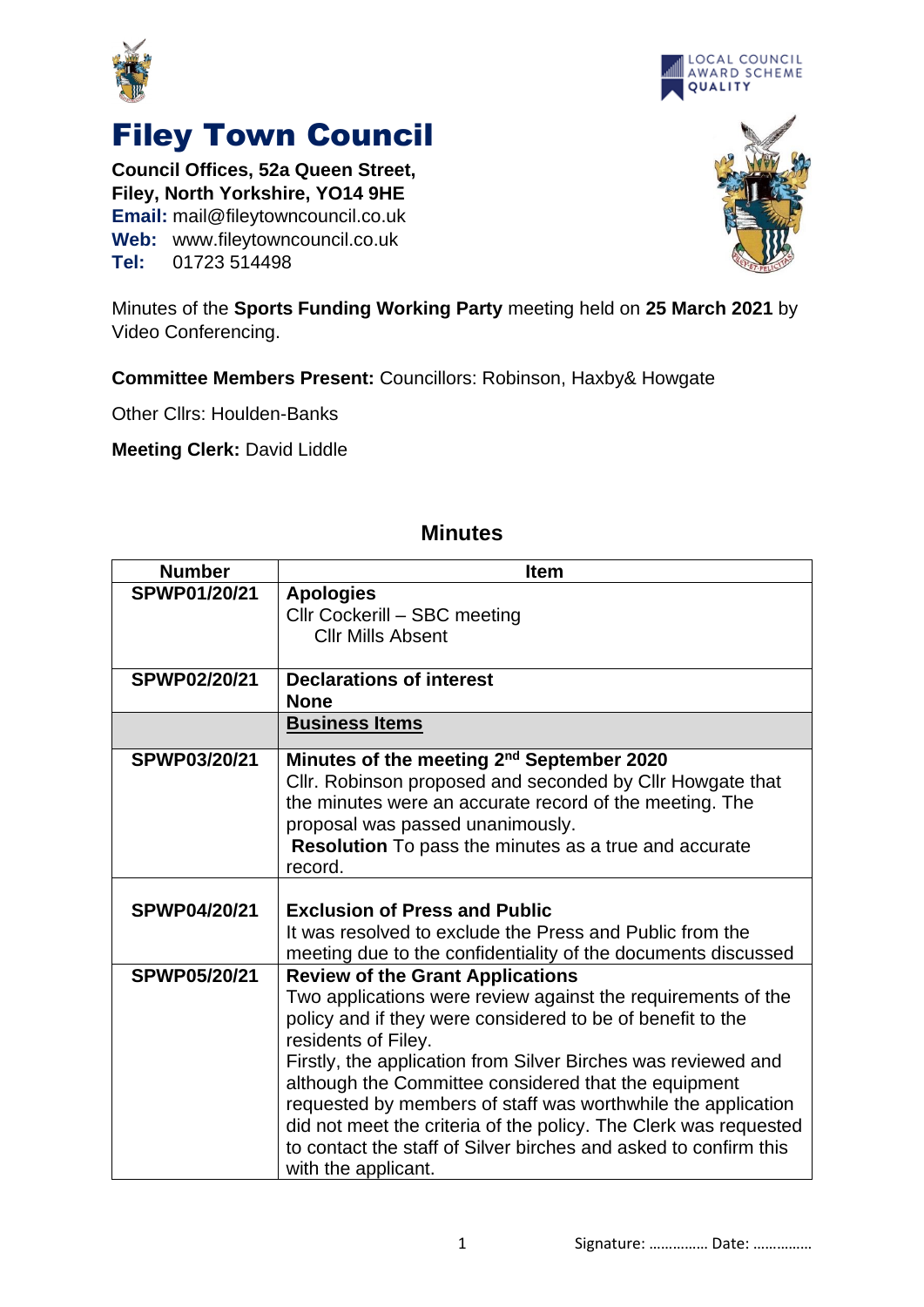



**Council Offices, 52a Queen Street, Filey, North Yorkshire, YO14 9HE Email:** mail@fileytowncouncil.co.uk **Web:** www.fileytowncouncil.co.uk **Tel:** 01723 514498





Minutes of the **Sports Funding Working Party** meeting held on **25 March 2021** by Video Conferencing.

**Committee Members Present:** Councillors: Robinson, Haxby& Howgate

Other Cllrs: Houlden-Banks

**Meeting Clerk:** David Liddle

| <b>Number</b>       | <b>Item</b>                                                      |
|---------------------|------------------------------------------------------------------|
| SPWP01/20/21        | <b>Apologies</b>                                                 |
|                     | Cllr Cockerill - SBC meeting                                     |
|                     | <b>Cllr Mills Absent</b>                                         |
|                     |                                                                  |
| SPWP02/20/21        | <b>Declarations of interest</b>                                  |
|                     | <b>None</b>                                                      |
|                     | <b>Business Items</b>                                            |
| <b>SPWP03/20/21</b> | Minutes of the meeting 2 <sup>nd</sup> September 2020            |
|                     | Cllr. Robinson proposed and seconded by Cllr Howgate that        |
|                     | the minutes were an accurate record of the meeting. The          |
|                     | proposal was passed unanimously.                                 |
|                     | <b>Resolution</b> To pass the minutes as a true and accurate     |
|                     | record.                                                          |
|                     |                                                                  |
| <b>SPWP04/20/21</b> | <b>Exclusion of Press and Public</b>                             |
|                     | It was resolved to exclude the Press and Public from the         |
|                     | meeting due to the confidentiality of the documents discussed    |
| <b>SPWP05/20/21</b> | <b>Review of the Grant Applications</b>                          |
|                     | Two applications were review against the requirements of the     |
|                     | policy and if they were considered to be of benefit to the       |
|                     | residents of Filey.                                              |
|                     | Firstly, the application from Silver Birches was reviewed and    |
|                     | although the Committee considered that the equipment             |
|                     | requested by members of staff was worthwhile the application     |
|                     | did not meet the criteria of the policy. The Clerk was requested |
|                     | to contact the staff of Silver birches and asked to confirm this |
|                     | with the applicant.                                              |

## **Minutes**